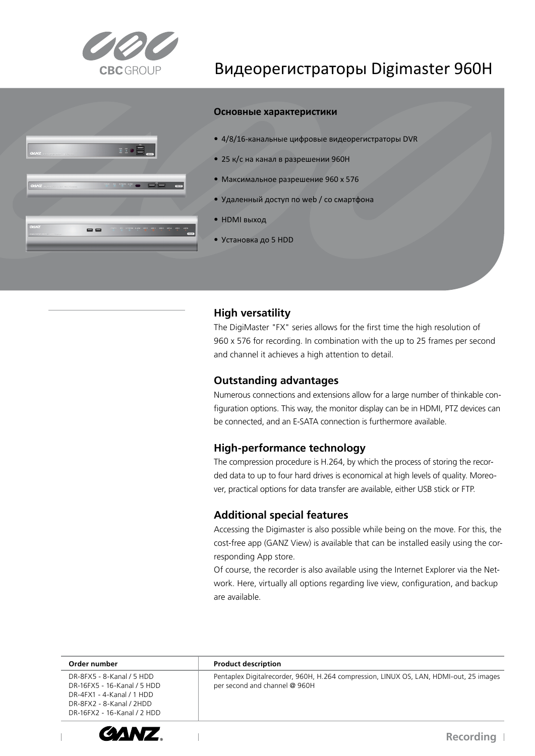

# $\mathbf{I} \circ \mathbf{E}$  $=$   $=$

### Видеорегистраторы Digimaster 960H

#### Основные характеристики

- 4/8/16-канальные цифровые видеорегистраторы DVR
- 25 к/с на канал в разрешении 960Н
- Максимальное разрешение 960 х 576
- Удаленный доступ по web / со смартфона
- НDМІ выход
- Установка до 5 HDD

#### Универсальность

егистраторы DigiMaster серии позвол твести запись с высоким разрешением 960 х 576 то позвол ет пол ить максимум информации от ри том сохран етс скорость записи 25 к/с аналогового виеона л дени на канал

кспорт видео осу ествл етс на В-носитель или -сервер

В комплекте идет программное о еспе ение DM ite позвол ее вести мониторинг до 64 каналов на одном ра о ем месте оператора росмотр с мо ильных устройств ерез прило ение View

| <b>Product description</b><br>Order number<br>DR-8FX5 - 8-Kanal / 5 HDD<br>per second and channel @ 960H<br>DR-16FX5 - 16-Kanal / 5 HDD<br>DR-4FX1 - 4-Kanal / 1 HDD<br>DR-8FX2 - 8-Kanal / 2HDD<br>DR-16FX2 - 16-Kanal / 2 HDD |                                                                                        |
|---------------------------------------------------------------------------------------------------------------------------------------------------------------------------------------------------------------------------------|----------------------------------------------------------------------------------------|
|                                                                                                                                                                                                                                 |                                                                                        |
|                                                                                                                                                                                                                                 | Pentaplex Digitalrecorder, 960H, H.264 compression, LINUX OS, LAN, HDMI-out, 25 images |

F d



**GANZ** 

 $\overline{\phantom{a}}$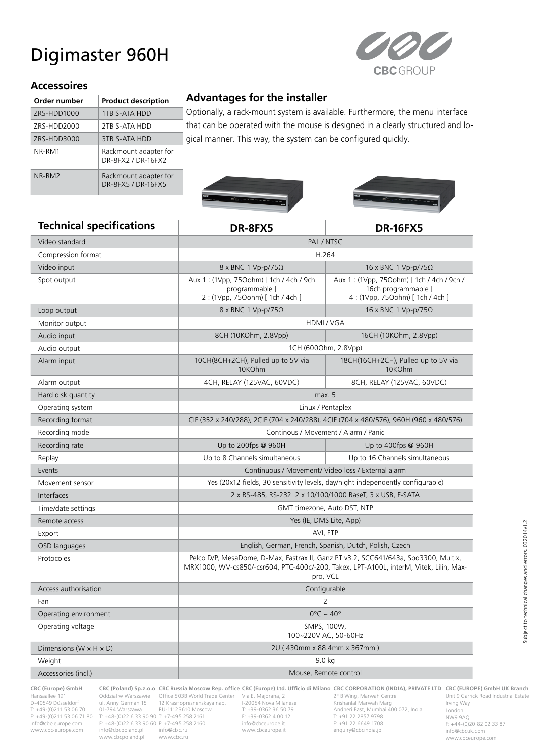## Digimaster 960H



#### **Accessoires**

| Order number | <b>Product description</b>                  |  |
|--------------|---------------------------------------------|--|
| ZRS-HDD1000  | 1TB S-ATA HDD                               |  |
| ZRS-HDD2000  | 2TB S-ATA HDD                               |  |
| ZRS-HDD3000  | 3TB S-ATA HDD                               |  |
| NR-RM1       | Rackmount adapter for<br>DR-8FX2 / DR-16FX2 |  |
| NR-RM2       | Rackmount adapter for<br>DR-8FX5 / DR-16FX5 |  |

#### **Advantages for the installer**

Optionally, a rack-mount system is available. Furthermore, the menu interface that can be operated with the mouse is designed in a clearly structured and logical manner. This way, the system can be configured quickly.





#### **Technical specifications DR-8FX5 DR-16FX5**

|                                      | נגע וט־וו                                                                                                                                                                                 |                                                                                                     |  |  |
|--------------------------------------|-------------------------------------------------------------------------------------------------------------------------------------------------------------------------------------------|-----------------------------------------------------------------------------------------------------|--|--|
| Video standard                       | PAL / NTSC                                                                                                                                                                                |                                                                                                     |  |  |
| Compression format                   | H.264                                                                                                                                                                                     |                                                                                                     |  |  |
| Video input                          | $8 \times BNC$ 1 Vp-p/75 $\Omega$                                                                                                                                                         | 16 x BNC 1 Vp-p/75 $\Omega$                                                                         |  |  |
| Spot output                          | Aux 1: (1Vpp, 750ohm) [1ch / 4ch / 9ch<br>programmable ]<br>2: (1Vpp, 750ohm) [ 1ch / 4ch ]                                                                                               | Aux 1: (1Vpp, 750ohm) [ 1ch / 4ch / 9ch /<br>16ch programmable ]<br>4: (1Vpp, 750ohm) [ 1ch / 4ch ] |  |  |
| Loop output                          | $8 \times BNC$ 1 Vp-p/75 $\Omega$                                                                                                                                                         | 16 x BNC 1 Vp-p/75 $\Omega$                                                                         |  |  |
| Monitor output                       | HDMI / VGA                                                                                                                                                                                |                                                                                                     |  |  |
| Audio input                          | 8CH (10KOhm, 2.8Vpp)                                                                                                                                                                      | 16CH (10KOhm, 2.8Vpp)                                                                               |  |  |
| Audio output                         |                                                                                                                                                                                           | 1CH (6000hm, 2.8Vpp)                                                                                |  |  |
| Alarm input                          | 10CH(8CH+2CH), Pulled up to 5V via<br>10KOhm                                                                                                                                              | 18CH(16CH+2CH), Pulled up to 5V via<br>10KOhm                                                       |  |  |
| Alarm output                         | 4CH, RELAY (125VAC, 60VDC)                                                                                                                                                                | 8CH, RELAY (125VAC, 60VDC)                                                                          |  |  |
| Hard disk quantity                   | max. 5                                                                                                                                                                                    |                                                                                                     |  |  |
| Operating system                     | Linux / Pentaplex                                                                                                                                                                         |                                                                                                     |  |  |
| Recording format                     | CIF (352 x 240/288), 2CIF (704 x 240/288), 4CIF (704 x 480/576), 960H (960 x 480/576)                                                                                                     |                                                                                                     |  |  |
| Recording mode                       | Continous / Movement / Alarm / Panic                                                                                                                                                      |                                                                                                     |  |  |
| Recording rate                       | Up to 200fps @ 960H                                                                                                                                                                       | Up to 400fps @ 960H                                                                                 |  |  |
| Replay                               | Up to 8 Channels simultaneous                                                                                                                                                             | Up to 16 Channels simultaneous                                                                      |  |  |
| Events                               | Continuous / Movement/ Video loss / External alarm                                                                                                                                        |                                                                                                     |  |  |
| Movement sensor                      | Yes (20x12 fields, 30 sensitivity levels, day/night independently configurable)                                                                                                           |                                                                                                     |  |  |
| Interfaces                           | 2 x RS-485, RS-232 2 x 10/100/1000 BaseT, 3 x USB, E-SATA                                                                                                                                 |                                                                                                     |  |  |
| Time/date settings                   | GMT timezone, Auto DST, NTP                                                                                                                                                               |                                                                                                     |  |  |
| Remote access                        | Yes (IE, DMS Lite, App)                                                                                                                                                                   |                                                                                                     |  |  |
| Export                               | AVI, FTP                                                                                                                                                                                  |                                                                                                     |  |  |
| OSD languages                        | English, German, French, Spanish, Dutch, Polish, Czech                                                                                                                                    |                                                                                                     |  |  |
| Protocoles                           | Pelco D/P, MesaDome, D-Max, Fastrax II, Ganz PT v3.2, SCC641/643a, Spd3300, Multix,<br>MRX1000, WV-cs850/-csr604, PTC-400c/-200, Takex, LPT-A100L, interM, Vitek, Lilin, Max-<br>pro, VCL |                                                                                                     |  |  |
| Access authorisation                 | Configurable                                                                                                                                                                              |                                                                                                     |  |  |
| Fan                                  | 2                                                                                                                                                                                         |                                                                                                     |  |  |
| Operating environment                | $0^{\circ}$ C ~ 40°                                                                                                                                                                       |                                                                                                     |  |  |
| Operating voltage                    | SMPS, 100W,<br>100~220V AC, 50-60Hz                                                                                                                                                       |                                                                                                     |  |  |
| Dimensions ( $W \times H \times D$ ) | 2U (430mm x 88.4mm x 367mm)                                                                                                                                                               |                                                                                                     |  |  |
| Weight                               | 9.0 kg                                                                                                                                                                                    |                                                                                                     |  |  |
| Accessories (incl.)                  | Mouse, Remote control                                                                                                                                                                     |                                                                                                     |  |  |
|                                      |                                                                                                                                                                                           |                                                                                                     |  |  |

www.cbc-europe.com

**CBC (Europe) GmbH CBC (Poland) Sp.z.o.o CBC Russia Moscow Rep. office CBC (Europe) Ltd. Ufficio di Milano CBC CORPORATION (INDIA), PRIVATE LTD CBC (EUROPE) GmbH UK Branch** Hansaallee 191 Oddzial w Warszawie Office 503B World Trade Center Via E. Majorana, 2 2F B Wing, Marwah Centre D-40549 Düsseldorf ul. Anny German 15 12 Krasnopresnenskaya nab.<br>T: +49-(0)211 53 06 70 01-794 Warszawa RU-11123610 Moscow<br>F: +49-(0)211 53 06 71 80 T: +48-(0)22 6 33 90 90 T: +7-495 258 2161 info@cbc-europe.com F: +48-(0)22 6 33 90 60 F: +7-495 258 2160 info@cbceurope.it F: +91 22 6649 1708 www.cbcpoland.pl www.cbc.ru

T: +49-(0)211 53 06 70 01-794 Warszawa RU-11123610 Moscow T: +39-0362 36 50 79 Andheri East, Mumbai 400 072, India<br>F: +49-(0)211 53 06 71 80 T: +48-(0)22 6 33 90 90 T: +7-495 258 2161 F: +39-0362 4 00

Unit 9 Garrick Road Industrial Estate Irving Way London NW9 9AQ F: +44-(0)20 82 02 33 87 info@cbcuk.com www.cbceurope.com